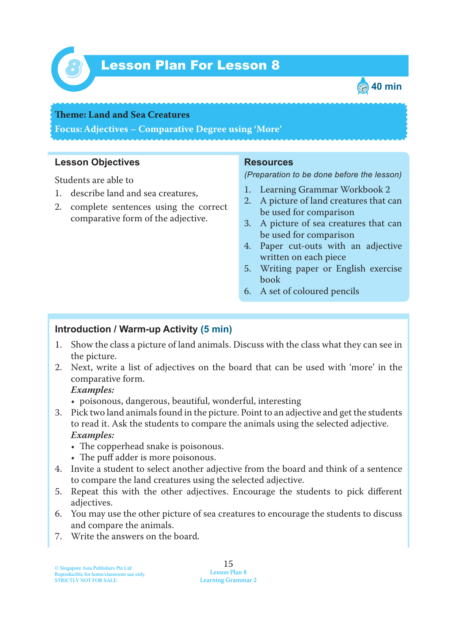

# *8* Lesson Plan For Lesson 8



#### **Teme : Land and Sea Creatures**

**Focus: Adjectives – Comparative Degree using 'More'**

#### **Lesson Objectives**

Students are able to

- 1. describe land and sea creatures,
- 2. complete sentences using the correct comparative form of the adjective.

#### **Resources**

*(Preparation to be done before the lesson)*

- 1. Learning Grammar Workbook 2
- 2. A picture of land creatures that can be used for comparison
- 3. A picture of sea creatures that can be used for comparison
- 4. Paper cut-outs with an adjective written on each piece
- 5. Writing paper or English exercise book
- 6. A set of coloured pencils

### **Introduction / Warm-up Activity (5 min)**

- 1. Show the class a picture of land animals. Discuss with the class what they can see in the picture.
- 2. Next, write a list of adjectives on the board that can be used with 'more' in the comparative form.

#### *Examples:*

- poisonous, dangerous, beautiful, wonderful, interesting
- 3. Pick two land animals found in the picture. Point to an adjective and get the students to read it. Ask the students to compare the animals using the selected adjective. *Examples:*
	- The copperhead snake is poisonous.
	- The puff adder is more poisonous.
- 4. Invite a student to select another adjective from the board and think of a sentence to compare the land creatures using the selected adjective.
- 5. Repeat this with the other adjectives. Encourage the students to pick different adjectives.
- 6. You may use the other picture of sea creatures to encourage the students to discuss and compare the animals.
- 7. Write the answers on the board.